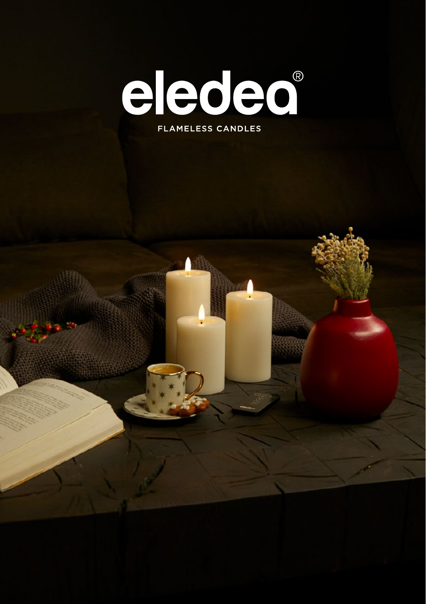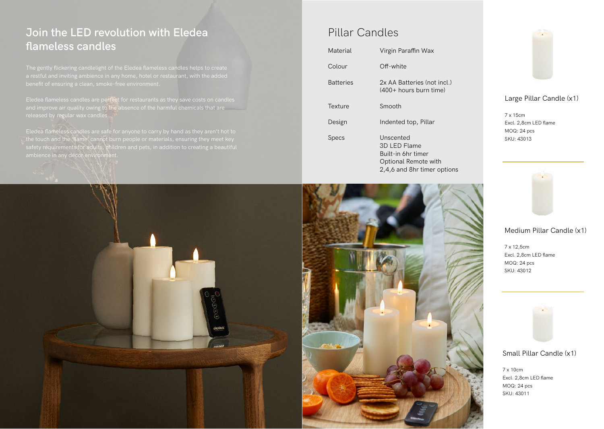## **Join the LED revolution with Eledea**  flameless candles

Eledea flameless candles are perfect for restaurants as they save costs on candles and improve air quality owing to the absence of the harmful chemicals that are

the touch and the 'flame' cannot burn people or materials, ensuring they meet key safety requirements for adults, children and pets, in addition to creating a beautiful

## Pillar Candles

| Material         | Virgin Paraffin Wax                                                                                    |
|------------------|--------------------------------------------------------------------------------------------------------|
| Colour           | Off-white                                                                                              |
| <b>Batteries</b> | 2x AA Batteries (not incl.)<br>$(400+$ hours burn time)                                                |
| Texture          | Smooth                                                                                                 |
| Design           | Indented top, Pillar                                                                                   |
| Specs            | Unscented<br>3D LED Flame<br>Built-in 6hr timer<br>Optional Remote with<br>2,4,6 and 8hr timer options |





Large Pillar Candle (x1)

7 x 15cm Excl. 2,8cm LED flame MOQ: 24 pcs SKU: 43013



### Medium Pillar Candle (x1)

7 x 12,5cm Excl. 2,8cm LED flame MOQ: 24 pcs SKU: 43012



Small Pillar Candle (x1)

7 x 10cm Excl. 2,8cm LED flame MOQ: 24 pcs SKU: 43011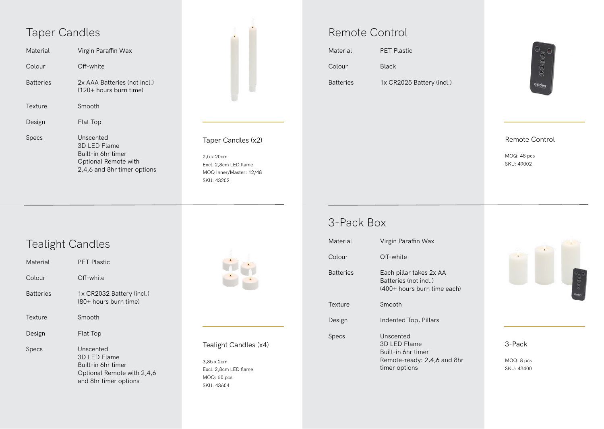| Material         | Virgin Paraffin Wax                                                     |
|------------------|-------------------------------------------------------------------------|
| Colour           | Off-white                                                               |
| <b>Batteries</b> | 2x AAA Batteries (not incl.)<br>$(120 +$ hours burn time)               |
| Texture          | Smooth                                                                  |
| Design           | Flat Top                                                                |
| Specs            | Unscented<br>3D LED Flame<br>Built-in 6hr timer<br>Optional Remote with |

2,4,6 and 8hr timer options



### Taper Candles (x2)

2,5 x 20cm Excl. 2,8cm LED flame MOQ Inner/Master: 12/48 SKU: 43202

| Material         | <b>PET Plastic</b>        |
|------------------|---------------------------|
| Colour           | <b>Black</b>              |
| <b>Batteries</b> | 1x CR2025 Battery (incl.) |



### Remote Control

MOQ: 48 pcs SKU: 49002

3-Pack

MOQ: 8 pcs SKU: 43400

# Tealight Candles

| Material         | <b>PET Plastic</b>                                                                                     |
|------------------|--------------------------------------------------------------------------------------------------------|
| Colour           | Off-white                                                                                              |
| <b>Batteries</b> | 1x CR2032 Battery (incl.)<br>$(80 + \text{hours burn time})$                                           |
| Texture          | Smooth                                                                                                 |
| Design           | <b>Flat Top</b>                                                                                        |
| <b>Specs</b>     | Unscented<br>3D LED Flame<br>Built-in 6hr timer<br>Optional Remote with 2,4,6<br>and 8hr timer options |



### Tealight Candles (x4)

3,85 x 2cm Excl. 2,8cm LED flame MOQ: 60 pcs SKU: 43604

## 3-Pack Box

| Material         | Virgin Paraffin Wax                                                                             |
|------------------|-------------------------------------------------------------------------------------------------|
| Colour           | Off-white                                                                                       |
| <b>Batteries</b> | Each pillar takes 2x AA<br>Batteries (not incl.)<br>(400+ hours burn time each)                 |
| Texture          | Smooth                                                                                          |
| Design           | Indented Top, Pillars                                                                           |
| Specs            | Unscented<br>3D LED Flame<br>Built-in 6hr timer<br>Remote-ready: 2,4,6 and 8hr<br>timer options |